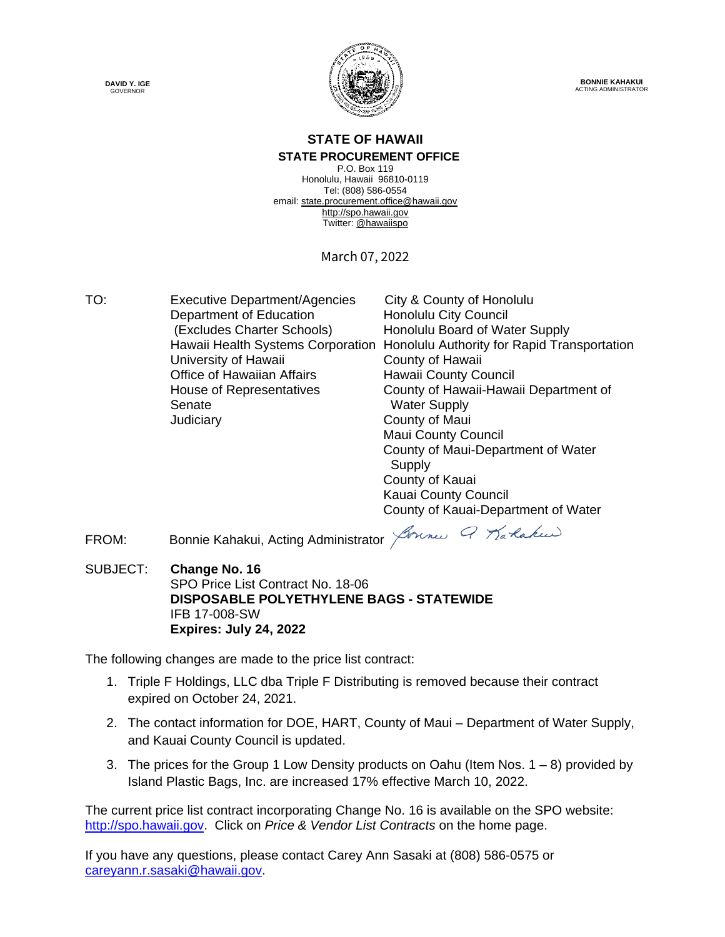



**BONNIE KAHAKUI** ACTING ADMINISTRATOR

### **STATE OF HAWAII STATE PROCUREMENT OFFICE**

P.O. Box 119 Honolulu, Hawaii 96810-0119 Tel: (808) 586-0554 email[: state.procurement.office@hawaii.gov](mailto:state.procurement.office@hawaii.gov) [http://spo.hawaii.gov](http://spo.hawaii.gov/) Twitter: [@hawaiispo](https://twitter.com/hawaiispo)

March 07, 2022

TO: Executive Department/Agencies City & County of Honolulu Department of Education **Honolulu City Council** (Excludes Charter Schools) Honolulu Board of Water Supply University of Hawaii **County of Hawaii** Office of Hawaiian Affairs Hawaii County Council Judiciary County of Maui

 Hawaii Health Systems Corporation Honolulu Authority for Rapid Transportation House of Representatives<br>
County of Hawaii-Hawaii Department of<br>
Water Supply **Water Supply** Maui County Council County of Maui-Department of Water **Supply** County of Kauai Kauai County Council County of Kauai-Department of Water

FROM: Bonnie Kahakui, Acting Administrator *Jounes 9 Karlakus* 

SUBJECT: **Change No. 16** SPO Price List Contract No. 18-06 **DISPOSABLE POLYETHYLENE BAGS - STATEWIDE** IFB 17-008-SW **Expires: July 24, 2022**

The following changes are made to the price list contract:

- 1. Triple F Holdings, LLC dba Triple F Distributing is removed because their contract expired on October 24, 2021.
- 2. The contact information for DOE, HART, County of Maui Department of Water Supply, and Kauai County Council is updated.
- 3. The prices for the Group 1 Low Density products on Oahu (Item Nos.  $1 8$ ) provided by Island Plastic Bags, Inc. are increased 17% effective March 10, 2022.

The current price list contract incorporating Change No. 16 is available on the SPO website: [http://spo.hawaii.gov.](http://spo.hawaii.gov/) Click on *Price & Vendor List Contracts* on the home page.

If you have any questions, please contact Carey Ann Sasaki at (808) 586-0575 or [careyann.r.sasaki@hawaii.gov.](mailto:careyann.r.sasaki@hawaii.gov)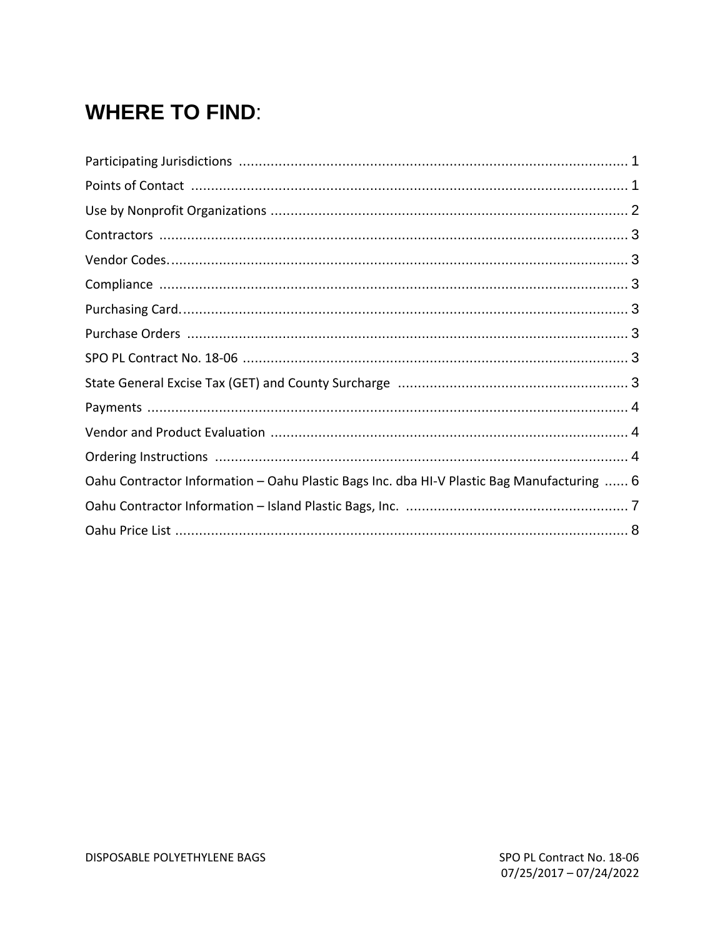# **WHERE TO FIND:**

| Oahu Contractor Information - Oahu Plastic Bags Inc. dba HI-V Plastic Bag Manufacturing  6 |  |
|--------------------------------------------------------------------------------------------|--|
|                                                                                            |  |
|                                                                                            |  |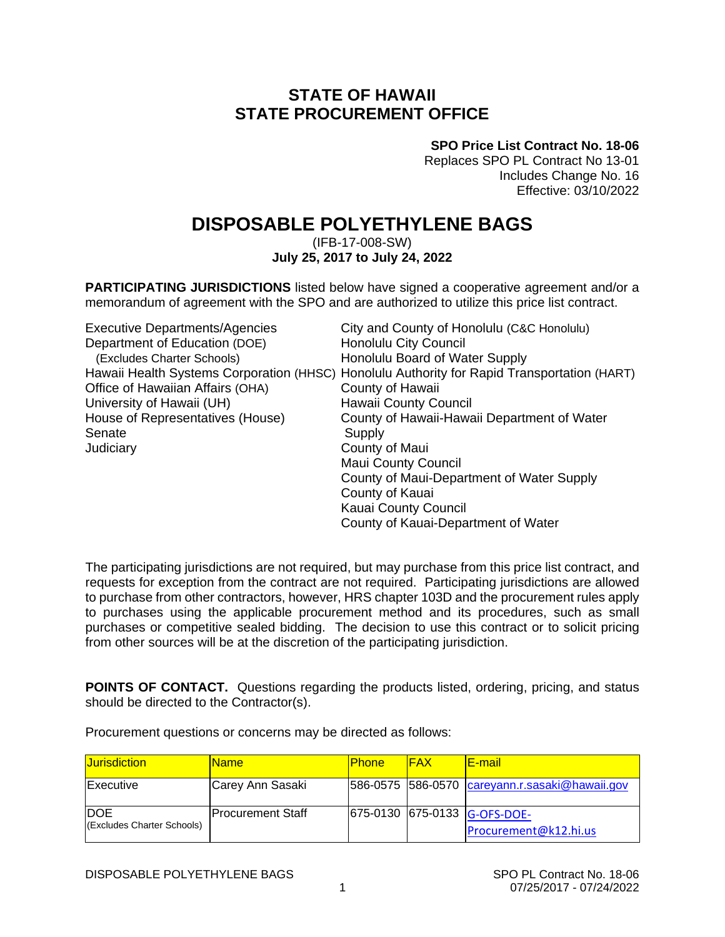## **STATE OF HAWAII STATE PROCUREMENT OFFICE**

**SPO Price List Contract No. 18-06**

Replaces SPO PL Contract No 13-01 Includes Change No. 16 Effective: 03/10/2022

## **DISPOSABLE POLYETHYLENE BAGS**

(IFB-17-008-SW) **July 25, 2017 to July 24, 2022**

**PARTICIPATING JURISDICTIONS** listed below have signed a cooperative agreement and/or a memorandum of agreement with the SPO and are authorized to utilize this price list contract.

| <b>Executive Departments/Agencies</b> | City and County of Honolulu (C&C Honolulu)                                                  |
|---------------------------------------|---------------------------------------------------------------------------------------------|
| Department of Education (DOE)         | <b>Honolulu City Council</b>                                                                |
| (Excludes Charter Schools)            | Honolulu Board of Water Supply                                                              |
|                                       | Hawaii Health Systems Corporation (HHSC) Honolulu Authority for Rapid Transportation (HART) |
| Office of Hawaiian Affairs (OHA)      | County of Hawaii                                                                            |
| University of Hawaii (UH)             | <b>Hawaii County Council</b>                                                                |
| House of Representatives (House)      | County of Hawaii-Hawaii Department of Water                                                 |
| Senate                                | Supply                                                                                      |
| Judiciary                             | County of Maui                                                                              |
|                                       | <b>Maui County Council</b>                                                                  |
|                                       | County of Maui-Department of Water Supply                                                   |
|                                       | County of Kauai                                                                             |
|                                       | <b>Kauai County Council</b>                                                                 |
|                                       | County of Kauai-Department of Water                                                         |

The participating jurisdictions are not required, but may purchase from this price list contract, and requests for exception from the contract are not required. Participating jurisdictions are allowed to purchase from other contractors, however, HRS chapter 103D and the procurement rules apply to purchases using the applicable procurement method and its procedures, such as small purchases or competitive sealed bidding. The decision to use this contract or to solicit pricing from other sources will be at the discretion of the participating jurisdiction.

**POINTS OF CONTACT.** Questions regarding the products listed, ordering, pricing, and status should be directed to the Contractor(s).

Procurement questions or concerns may be directed as follows:

| <b>Jurisdiction</b>                       | <u>IName</u>             | <b>IPhone</b> | <b>IFAX</b> | <u>IE-mail</u>                                        |
|-------------------------------------------|--------------------------|---------------|-------------|-------------------------------------------------------|
| <b>Executive</b>                          | Carey Ann Sasaki         |               |             | 586-0575 586-0570 careyann.r.sasaki@hawaii.gov        |
| <b>IDOE</b><br>(Excludes Charter Schools) | <b>Procurement Staff</b> |               |             | 675-0130 675-0133 G-OFS-DOE-<br>Procurement@k12.hi.us |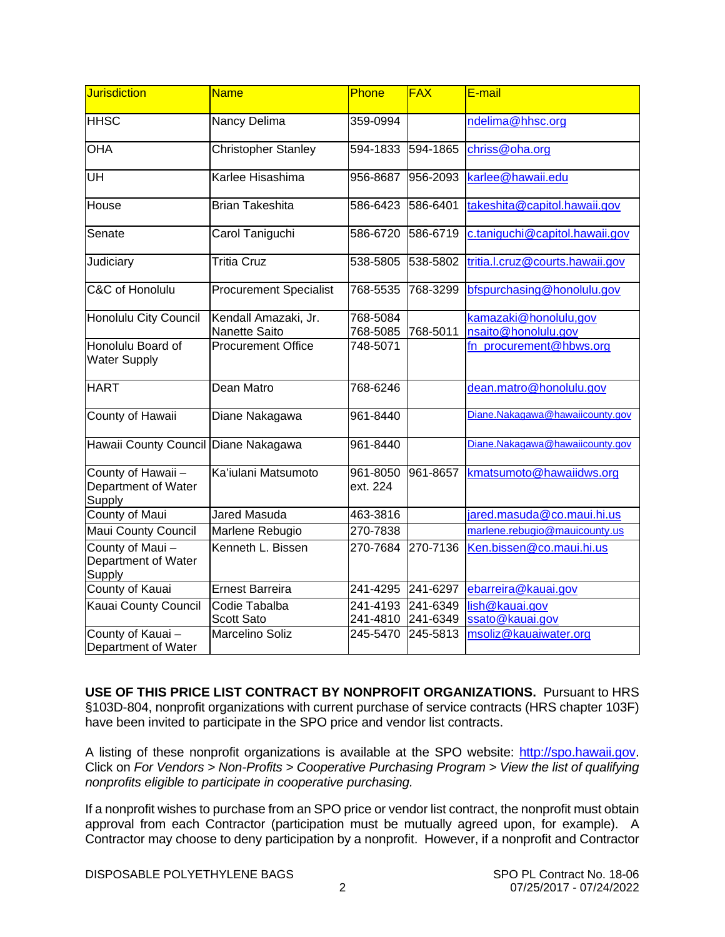| Jurisdiction                                        | <b>Name</b>                                  | Phone                | <b>FAX</b>           | E-mail                                       |  |  |
|-----------------------------------------------------|----------------------------------------------|----------------------|----------------------|----------------------------------------------|--|--|
| <b>HHSC</b>                                         | Nancy Delima                                 | 359-0994             |                      | ndelima@hhsc.org                             |  |  |
| <b>OHA</b>                                          | <b>Christopher Stanley</b>                   | 594-1833<br>594-1865 |                      | chriss@oha.org                               |  |  |
| UH                                                  | Karlee Hisashima                             | 956-8687             | 956-2093             | karlee@hawaii.edu                            |  |  |
| House                                               | <b>Brian Takeshita</b>                       | 586-6423             | 586-6401             | takeshita@capitol.hawaii.gov                 |  |  |
| Senate                                              | Carol Taniguchi                              | 586-6720             | 586-6719             | c.taniguchi@capitol.hawaii.gov               |  |  |
| Judiciary                                           | <b>Tritia Cruz</b>                           | 538-5805             | 538-5802             | tritia.l.cruz@courts.hawaii.gov              |  |  |
| <b>C&amp;C of Honolulu</b>                          | <b>Procurement Specialist</b>                | 768-5535             | 768-3299             | bfspurchasing@honolulu.gov                   |  |  |
| Honolulu City Council                               | Kendall Amazaki, Jr.<br><b>Nanette Saito</b> | 768-5084<br>768-5085 | 768-5011             | kamazaki@honolulu,gov<br>nsaito@honolulu.gov |  |  |
| Honolulu Board of<br><b>Water Supply</b>            | <b>Procurement Office</b>                    | 748-5071             |                      | fn_procurement@hbws.org                      |  |  |
| <b>HART</b>                                         | Dean Matro                                   | 768-6246             |                      | dean.matro@honolulu.gov                      |  |  |
| County of Hawaii                                    | Diane Nakagawa                               | 961-8440             |                      | Diane.Nakagawa@hawaiicounty.gov              |  |  |
| Hawaii County Council Diane Nakagawa                |                                              | 961-8440             |                      | Diane.Nakagawa@hawaiicounty.gov              |  |  |
| County of Hawaii -<br>Department of Water<br>Supply | Ka'iulani Matsumoto                          | 961-8050<br>ext. 224 | 961-8657             | kmatsumoto@hawaiidws.org                     |  |  |
| County of Maui                                      | <b>Jared Masuda</b>                          | 463-3816             |                      | jared.masuda@co.maui.hi.us                   |  |  |
| <b>Maui County Council</b>                          | Marlene Rebugio                              | 270-7838             |                      | marlene.rebugio@mauicounty.us                |  |  |
| County of Maui-<br>Department of Water<br>Supply    | Kenneth L. Bissen                            | 270-7684             | 270-7136             | Ken.bissen@co.maui.hi.us                     |  |  |
| County of Kauai                                     | <b>Ernest Barreira</b>                       | 241-4295             | 241-6297             | ebarreira@kauai.gov                          |  |  |
| <b>Kauai County Council</b>                         | Codie Tabalba<br><b>Scott Sato</b>           | 241-4193<br>241-4810 | 241-6349<br>241-6349 | lish@kauai.gov<br>ssato@kauai.gov            |  |  |
| County of Kauai-<br>Department of Water             | Marcelino Soliz                              | 245-5470             | 245-5813             | msoliz@kauaiwater.org                        |  |  |

**USE OF THIS PRICE LIST CONTRACT BY NONPROFIT ORGANIZATIONS.** Pursuant to HRS §103D-804, nonprofit organizations with current purchase of service contracts (HRS chapter 103F) have been invited to participate in the SPO price and vendor list contracts.

A listing of these nonprofit organizations is available at the SPO website: [http://spo.hawaii.gov.](http://spo.hawaii.gov/) Click on *For Vendors > Non-Profits > Cooperative Purchasing Program > View the list of qualifying nonprofits eligible to participate in cooperative purchasing.*

If a nonprofit wishes to purchase from an SPO price or vendor list contract, the nonprofit must obtain approval from each Contractor (participation must be mutually agreed upon, for example). A Contractor may choose to deny participation by a nonprofit. However, if a nonprofit and Contractor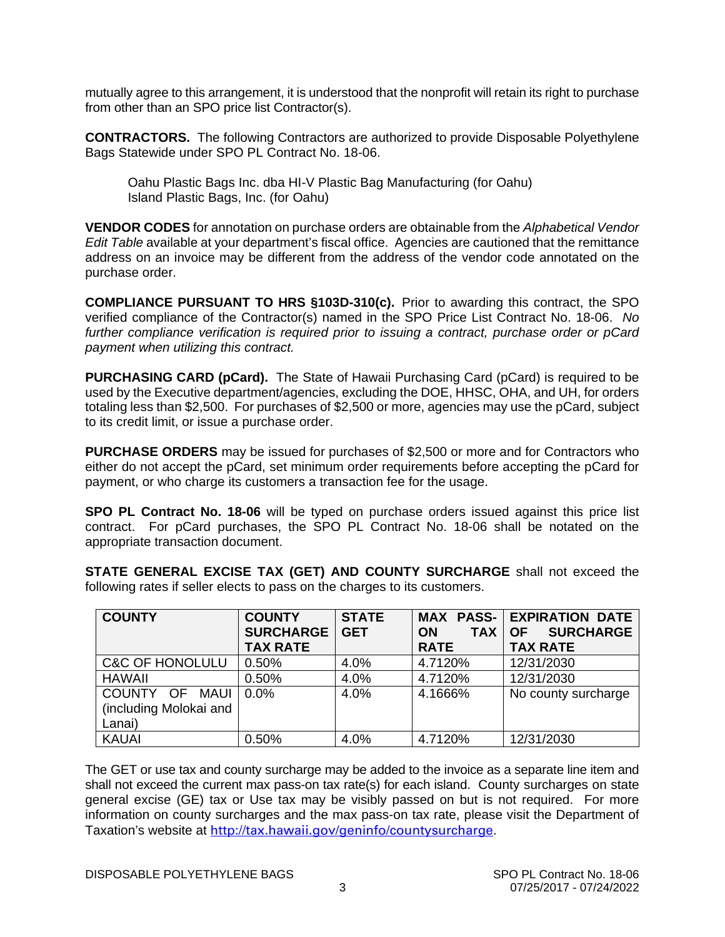mutually agree to this arrangement, it is understood that the nonprofit will retain its right to purchase from other than an SPO price list Contractor(s).

**CONTRACTORS.** The following Contractors are authorized to provide Disposable Polyethylene Bags Statewide under SPO PL Contract No. 18-06.

Oahu Plastic Bags Inc. dba HI-V Plastic Bag Manufacturing (for Oahu) Island Plastic Bags, Inc. (for Oahu)

**VENDOR CODES** for annotation on purchase orders are obtainable from the *Alphabetical Vendor Edit Table* available at your department's fiscal office. Agencies are cautioned that the remittance address on an invoice may be different from the address of the vendor code annotated on the purchase order.

**COMPLIANCE PURSUANT TO HRS §103D-310(c).** Prior to awarding this contract, the SPO verified compliance of the Contractor(s) named in the SPO Price List Contract No. 18-06. *No further compliance verification is required prior to issuing a contract, purchase order or pCard payment when utilizing this contract.*

**PURCHASING CARD (pCard).** The State of Hawaii Purchasing Card (pCard) is required to be used by the Executive department/agencies, excluding the DOE, HHSC, OHA, and UH, for orders totaling less than \$2,500. For purchases of \$2,500 or more, agencies may use the pCard, subject to its credit limit, or issue a purchase order.

**PURCHASE ORDERS** may be issued for purchases of \$2,500 or more and for Contractors who either do not accept the pCard, set minimum order requirements before accepting the pCard for payment, or who charge its customers a transaction fee for the usage.

**SPO PL Contract No. 18-06** will be typed on purchase orders issued against this price list contract. For pCard purchases, the SPO PL Contract No. 18-06 shall be notated on the appropriate transaction document.

**STATE GENERAL EXCISE TAX (GET) AND COUNTY SURCHARGE** shall not exceed the following rates if seller elects to pass on the charges to its customers.

| <b>COUNTY</b>              | <b>COUNTY</b>    | <b>STATE</b> |                         | <b>MAX PASS- EXPIRATION DATE</b> |  |  |
|----------------------------|------------------|--------------|-------------------------|----------------------------------|--|--|
|                            | <b>SURCHARGE</b> | <b>GET</b>   | <b>TAX</b><br><b>ON</b> | <b>SURCHARGE</b><br><b>OF</b>    |  |  |
|                            | <b>TAX RATE</b>  |              | <b>RATE</b>             | <b>TAX RATE</b>                  |  |  |
| <b>C&amp;C OF HONOLULU</b> | 0.50%            | 4.0%         | 4.7120%                 | 12/31/2030                       |  |  |
| <b>HAWAII</b>              | 0.50%            | 4.0%         | 4.7120%                 | 12/31/2030                       |  |  |
| COUNTY OF<br>MAUI          | $0.0\%$          | 4.0%         | 4.1666%                 | No county surcharge              |  |  |
| (including Molokai and     |                  |              |                         |                                  |  |  |
| Lanai)                     |                  |              |                         |                                  |  |  |
| <b>KAUAI</b>               | 0.50%            | 4.0%         | 4.7120%                 | 12/31/2030                       |  |  |

The GET or use tax and county surcharge may be added to the invoice as a separate line item and shall not exceed the current max pass-on tax rate(s) for each island. County surcharges on state general excise (GE) tax or Use tax may be visibly passed on but is not required. For more information on county surcharges and the max pass-on tax rate, please visit the Department of Taxation's website at <http://tax.hawaii.gov/geninfo/countysurcharge>.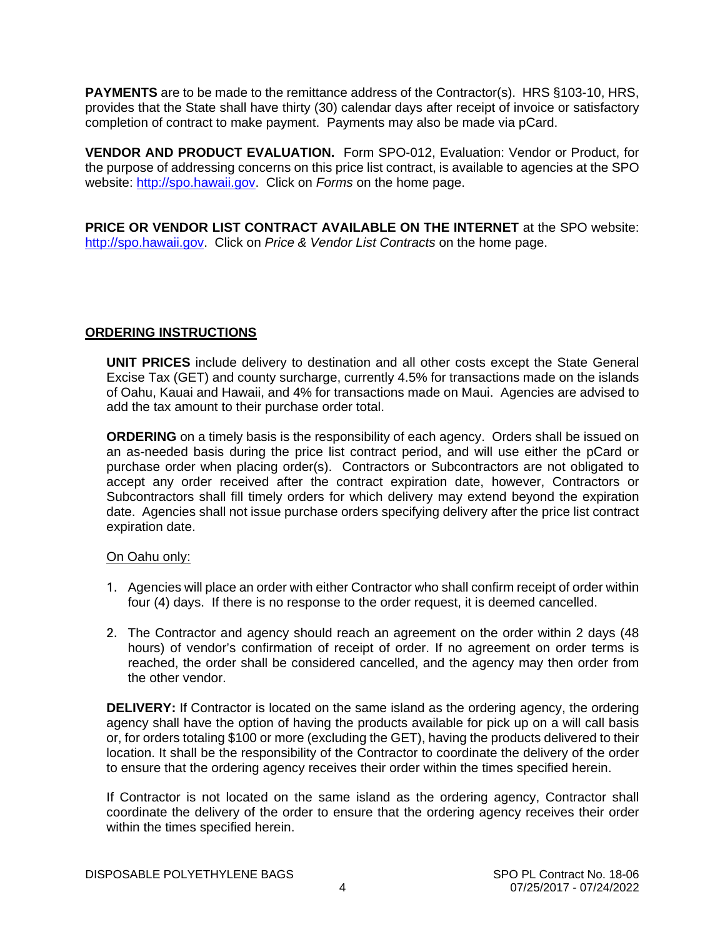**PAYMENTS** are to be made to the remittance address of the Contractor(s). HRS §103-10, HRS, provides that the State shall have thirty (30) calendar days after receipt of invoice or satisfactory completion of contract to make payment. Payments may also be made via pCard.

**VENDOR AND PRODUCT EVALUATION.** Form SPO-012, Evaluation: Vendor or Product, for the purpose of addressing concerns on this price list contract, is available to agencies at the SPO website: [http://spo.hawaii.gov.](http://spo.hawaii.gov/) Click on *Forms* on the home page.

**PRICE OR VENDOR LIST CONTRACT AVAILABLE ON THE INTERNET** at the SPO website: [http://spo.hawaii.gov.](http://spo.hawaii.gov/) Click on *Price & Vendor List Contracts* on the home page.

### **ORDERING INSTRUCTIONS**

**UNIT PRICES** include delivery to destination and all other costs except the State General Excise Tax (GET) and county surcharge, currently 4.5% for transactions made on the islands of Oahu, Kauai and Hawaii, and 4% for transactions made on Maui. Agencies are advised to add the tax amount to their purchase order total.

**ORDERING** on a timely basis is the responsibility of each agency. Orders shall be issued on an as-needed basis during the price list contract period, and will use either the pCard or purchase order when placing order(s). Contractors or Subcontractors are not obligated to accept any order received after the contract expiration date, however, Contractors or Subcontractors shall fill timely orders for which delivery may extend beyond the expiration date. Agencies shall not issue purchase orders specifying delivery after the price list contract expiration date.

#### On Oahu only:

- 1. Agencies will place an order with either Contractor who shall confirm receipt of order within four (4) days. If there is no response to the order request, it is deemed cancelled.
- 2. The Contractor and agency should reach an agreement on the order within 2 days (48 hours) of vendor's confirmation of receipt of order. If no agreement on order terms is reached, the order shall be considered cancelled, and the agency may then order from the other vendor.

**DELIVERY:** If Contractor is located on the same island as the ordering agency, the ordering agency shall have the option of having the products available for pick up on a will call basis or, for orders totaling \$100 or more (excluding the GET), having the products delivered to their location. It shall be the responsibility of the Contractor to coordinate the delivery of the order to ensure that the ordering agency receives their order within the times specified herein.

If Contractor is not located on the same island as the ordering agency, Contractor shall coordinate the delivery of the order to ensure that the ordering agency receives their order within the times specified herein.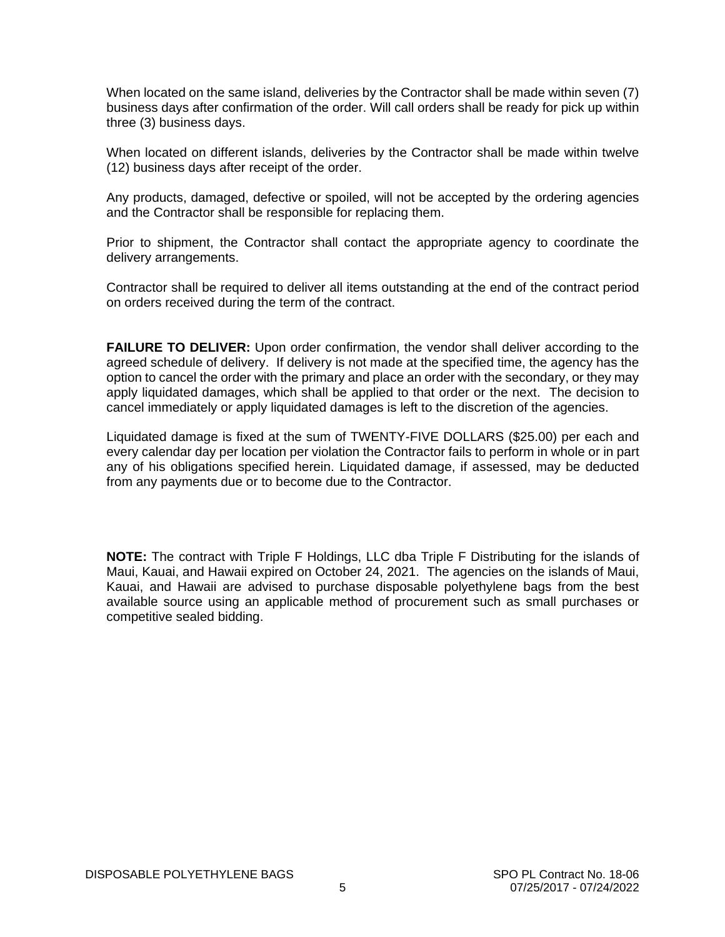When located on the same island, deliveries by the Contractor shall be made within seven (7) business days after confirmation of the order. Will call orders shall be ready for pick up within three (3) business days.

When located on different islands, deliveries by the Contractor shall be made within twelve (12) business days after receipt of the order.

Any products, damaged, defective or spoiled, will not be accepted by the ordering agencies and the Contractor shall be responsible for replacing them.

Prior to shipment, the Contractor shall contact the appropriate agency to coordinate the delivery arrangements.

Contractor shall be required to deliver all items outstanding at the end of the contract period on orders received during the term of the contract.

**FAILURE TO DELIVER:** Upon order confirmation, the vendor shall deliver according to the agreed schedule of delivery. If delivery is not made at the specified time, the agency has the option to cancel the order with the primary and place an order with the secondary, or they may apply liquidated damages, which shall be applied to that order or the next. The decision to cancel immediately or apply liquidated damages is left to the discretion of the agencies.

Liquidated damage is fixed at the sum of TWENTY-FIVE DOLLARS (\$25.00) per each and every calendar day per location per violation the Contractor fails to perform in whole or in part any of his obligations specified herein. Liquidated damage, if assessed, may be deducted from any payments due or to become due to the Contractor.

**NOTE:** The contract with Triple F Holdings, LLC dba Triple F Distributing for the islands of Maui, Kauai, and Hawaii expired on October 24, 2021. The agencies on the islands of Maui, Kauai, and Hawaii are advised to purchase disposable polyethylene bags from the best available source using an applicable method of procurement such as small purchases or competitive sealed bidding.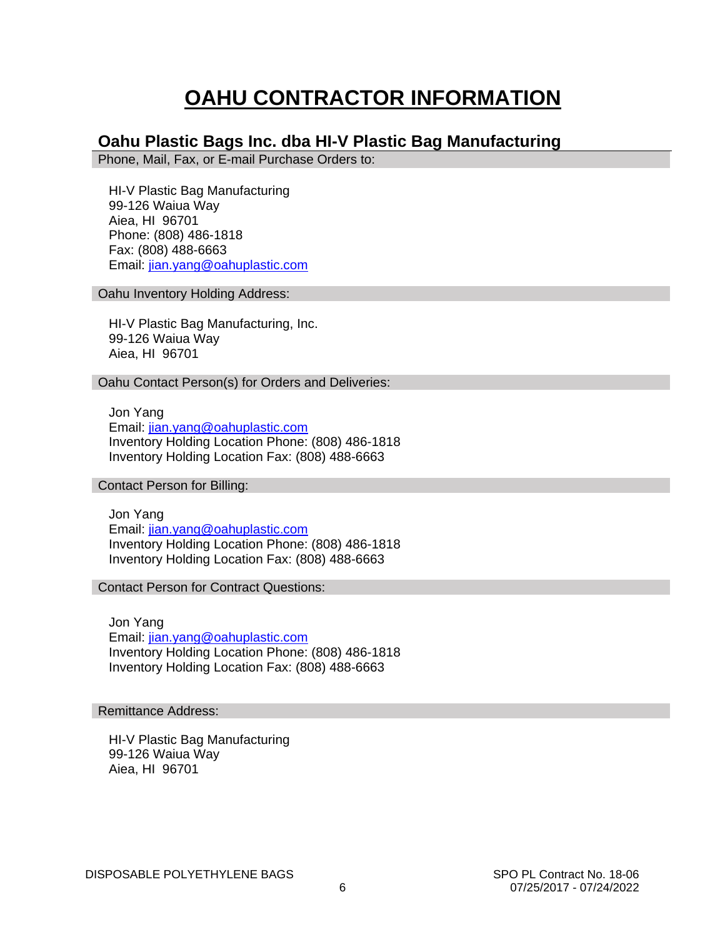# **OAHU CONTRACTOR INFORMATION**

## **Oahu Plastic Bags Inc. dba HI-V Plastic Bag Manufacturing**

Phone, Mail, Fax, or E-mail Purchase Orders to:

 HI-V Plastic Bag Manufacturing 99-126 Waiua Way Aiea, HI 96701 Phone: (808) 486-1818 Fax: (808) 488-6663 Email: [jian.yang@oahuplastic.com](mailto:jian.yang@oahuplastic.com)

Oahu Inventory Holding Address:

 HI-V Plastic Bag Manufacturing, Inc. 99-126 Waiua Way Aiea, HI 96701

Oahu Contact Person(s) for Orders and Deliveries:

 Jon Yang Email: [jian.yang@oahuplastic.com](mailto:jian.yang@oahuplastic.com) Inventory Holding Location Phone: (808) 486-1818 Inventory Holding Location Fax: (808) 488-6663

Contact Person for Billing:

 Jon Yang Email: [jian.yang@oahuplastic.com](mailto:jian.yang@oahuplastic.com) Inventory Holding Location Phone: (808) 486-1818 Inventory Holding Location Fax: (808) 488-6663

Contact Person for Contract Questions:

 Jon Yang Email: [jian.yang@oahuplastic.com](mailto:jian.yang@oahuplastic.com) Inventory Holding Location Phone: (808) 486-1818 Inventory Holding Location Fax: (808) 488-6663

Remittance Address:

 HI-V Plastic Bag Manufacturing 99-126 Waiua Way Aiea, HI 96701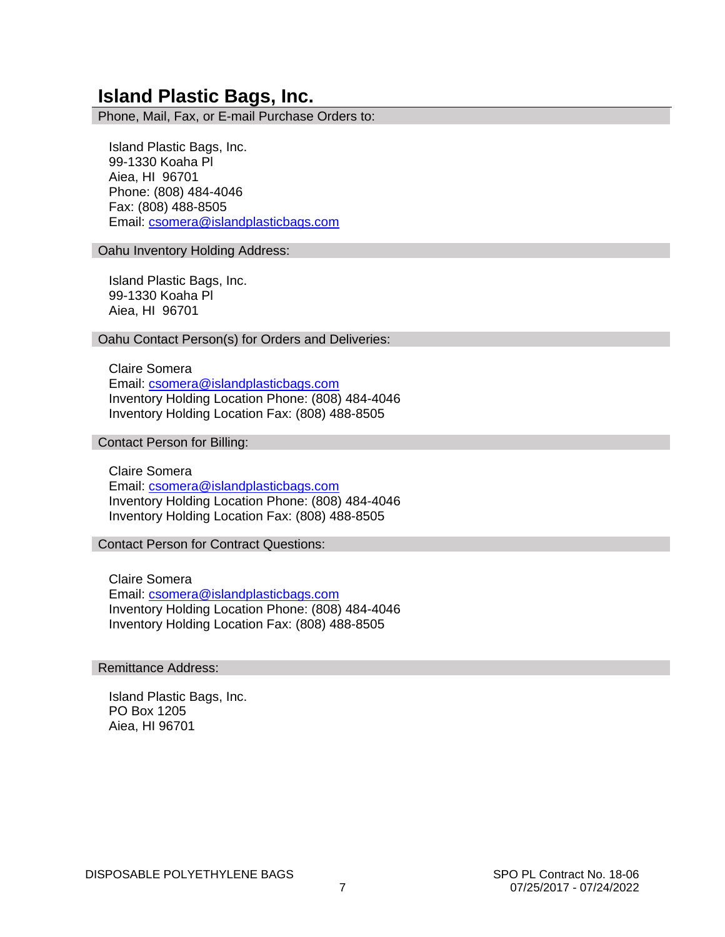## **Island Plastic Bags, Inc.**

Phone, Mail, Fax, or E-mail Purchase Orders to:

 Island Plastic Bags, Inc. 99-1330 Koaha Pl Aiea, HI 96701 Phone: (808) 484-4046 Fax: (808) 488-8505 Email: [csomera@islandplasticbags.com](mailto:csomera@islandplasticbags.com)

Oahu Inventory Holding Address:

 Island Plastic Bags, Inc. 99-1330 Koaha Pl Aiea, HI 96701

Oahu Contact Person(s) for Orders and Deliveries:

 Claire Somera Email: [csomera@islandplasticbags.com](mailto:csomera@islandplasticbags.com) Inventory Holding Location Phone: (808) 484-4046 Inventory Holding Location Fax: (808) 488-8505

Contact Person for Billing:

 Claire Somera Email: [csomera@islandplasticbags.com](mailto:csomera@islandplasticbags.com) Inventory Holding Location Phone: (808) 484-4046 Inventory Holding Location Fax: (808) 488-8505

Contact Person for Contract Questions:

 Claire Somera Email: [csomera@islandplasticbags.com](mailto:csomera@islandplasticbags.com) Inventory Holding Location Phone: (808) 484-4046 Inventory Holding Location Fax: (808) 488-8505

#### Remittance Address:

 Island Plastic Bags, Inc. PO Box 1205 Aiea, HI 96701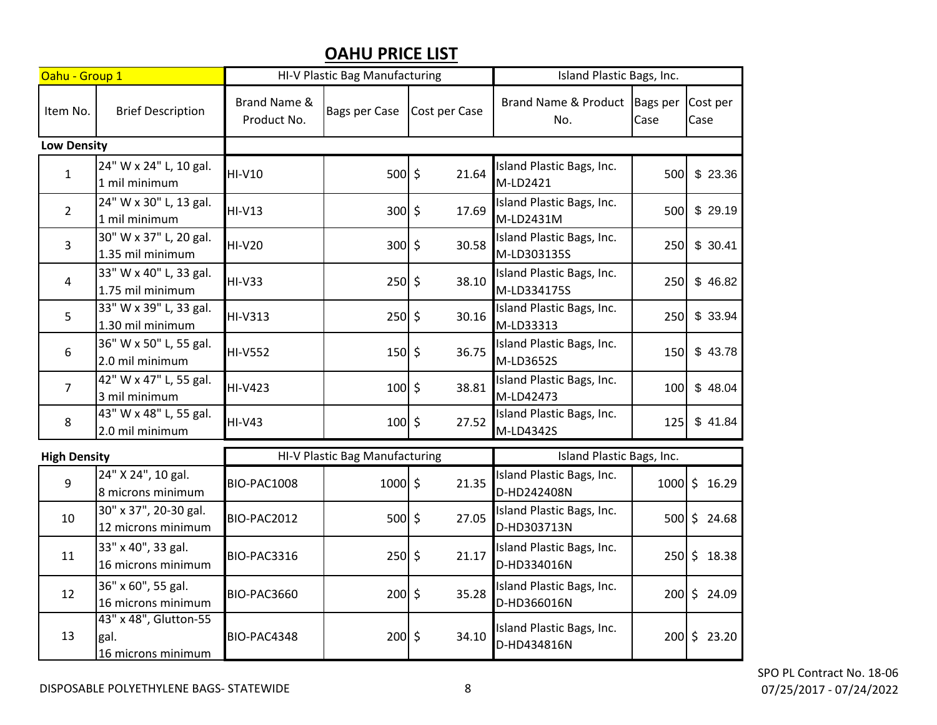# **OAHU PRICE LIST**

| Oahu - Group 1      |                                                     | HI-V Plastic Bag Manufacturing |                |               | Island Plastic Bags, Inc.                |     |                    |
|---------------------|-----------------------------------------------------|--------------------------------|----------------|---------------|------------------------------------------|-----|--------------------|
| Item No.            | <b>Brief Description</b>                            | Brand Name &<br>Product No.    | Bags per Case  | Cost per Case | Brand Name & Product Bags per<br>No.     |     | Cost per<br>Case   |
| <b>Low Density</b>  |                                                     |                                |                |               |                                          |     |                    |
| $\mathbf{1}$        | 24" W x 24" L, 10 gal.<br>1 mil minimum             | <b>HI-V10</b>                  | $500 \,$ \$    | 21.64         | Island Plastic Bags, Inc.<br>M-LD2421    | 500 | \$23.36            |
| $\overline{2}$      | 24" W x 30" L, 13 gal.<br>1 mil minimum             | <b>HI-V13</b>                  | $300 \mid 5$   | 17.69         | Island Plastic Bags, Inc.<br>M-LD2431M   | 500 | \$29.19            |
| 3                   | 30" W x 37" L, 20 gal.<br>1.35 mil minimum          | <b>HI-V20</b>                  | $300 \mid 5$   | 30.58         | Island Plastic Bags, Inc.<br>M-LD303135S | 250 | \$30.41            |
| $\overline{4}$      | 33" W x 40" L, 33 gal.<br>1.75 mil minimum          | <b>HI-V33</b>                  | $250 \mid 5$   | 38.10         | Island Plastic Bags, Inc.<br>M-LD334175S | 250 | \$46.82            |
| 5                   | 33" W x 39" L, 33 gal.<br>1.30 mil minimum          | <b>HI-V313</b>                 | $250 \,$ \$    | 30.16         | Island Plastic Bags, Inc.<br>M-LD33313   | 250 | \$33.94            |
| 6                   | 36" W x 50" L, 55 gal.<br>2.0 mil minimum           | <b>HI-V552</b>                 | $150 \div$     | 36.75         | Island Plastic Bags, Inc.<br>M-LD3652S   | 150 | \$43.78            |
| $\overline{7}$      | 42" W x 47" L, 55 gal.<br>3 mil minimum             | <b>HI-V423</b>                 | $100 \mid \xi$ | 38.81         | Island Plastic Bags, Inc.<br>M-LD42473   | 100 | \$48.04            |
| 8                   | 43" W x 48" L, 55 gal.<br>2.0 mil minimum           | <b>HI-V43</b>                  | $100 \mid \xi$ | 27.52         | Island Plastic Bags, Inc.<br>M-LD4342S   | 125 | \$41.84            |
| <b>High Density</b> |                                                     | HI-V Plastic Bag Manufacturing |                |               | Island Plastic Bags, Inc.                |     |                    |
| 9                   | 24" X 24", 10 gal.<br>8 microns minimum             | <b>BIO-PAC1008</b>             | $1000$ \$      | 21.35         | Island Plastic Bags, Inc.<br>D-HD242408N |     | $1000 \div 16.29$  |
| 10                  | 30" x 37", 20-30 gal.<br>12 microns minimum         | BIO-PAC2012                    | $500 \mid 5$   | 27.05         | Island Plastic Bags, Inc.<br>D-HD303713N |     | $500 \mid 5$ 24.68 |
| 11                  | 33" x 40", 33 gal.<br>16 microns minimum            | BIO-PAC3316                    | $250 \,$ \$    | 21.17         | Island Plastic Bags, Inc.<br>D-HD334016N |     | $250 \div 18.38$   |
| 12                  | 36" x 60", 55 gal.<br>16 microns minimum            | <b>BIO-PAC3660</b>             | $200 \leq$     | 35.28         | Island Plastic Bags, Inc.<br>D-HD366016N |     | 200 \$24.09        |
| 13                  | 43" x 48", Glutton-55<br>gal.<br>16 microns minimum | BIO-PAC4348                    | $200 \leq$     | 34.10         | Island Plastic Bags, Inc.<br>D-HD434816N |     | $200 \div 23.20$   |